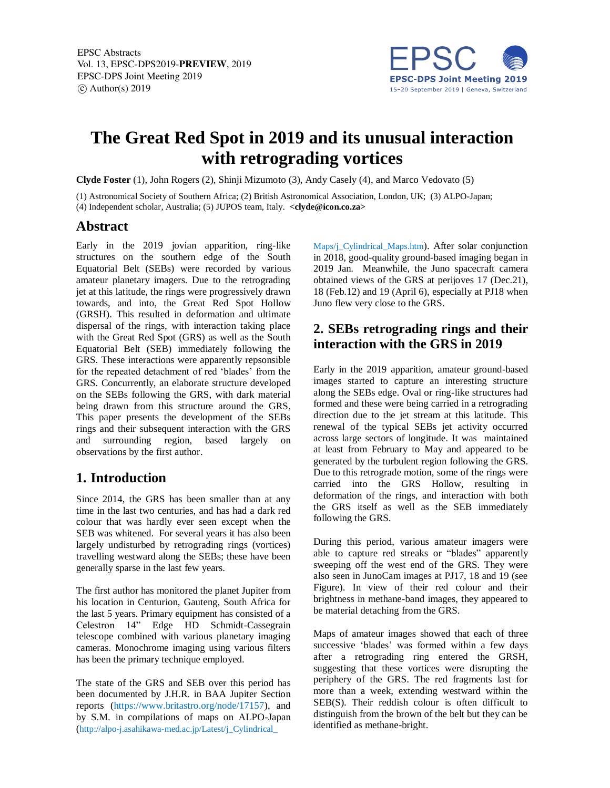EPSC Abstracts Vol. 13, EPSC-DPS2019-PREVIEW, 2019 EPSC-DPS Joint Meeting 2019  $\circ$  Author(s) 2019



# **The Great Red Spot in 2019 and its unusual interaction with retrograding vortices**

**Clyde Foster** (1), John Rogers (2), Shinji Mizumoto (3), Andy Casely (4), and Marco Vedovato (5)

(1) Astronomical Society of Southern Africa; (2) British Astronomical Association, London, UK; (3) ALPO-Japan;

(4) Independent scholar, Australia; (5) JUPOS team, Italy. **<clyde@icon.co.za>**

#### **Abstract**

Early in the 2019 jovian apparition, ring-like structures on the southern edge of the South Equatorial Belt (SEBs) were recorded by various amateur planetary imagers. Due to the retrograding jet at this latitude, the rings were progressively drawn towards, and into, the Great Red Spot Hollow (GRSH). This resulted in deformation and ultimate dispersal of the rings, with interaction taking place with the Great Red Spot (GRS) as well as the South Equatorial Belt (SEB) immediately following the GRS. These interactions were apparently repsonsible for the repeated detachment of red 'blades' from the GRS. Concurrently, an elaborate structure developed on the SEBs following the GRS, with dark material being drawn from this structure around the GRS, This paper presents the development of the SEBs rings and their subsequent interaction with the GRS and surrounding region, based largely on observations by the first author.

## **1. Introduction**

Since 2014, the GRS has been smaller than at any time in the last two centuries, and has had a dark red colour that was hardly ever seen except when the SEB was whitened. For several years it has also been largely undisturbed by retrograding rings (vortices) travelling westward along the SEBs; these have been generally sparse in the last few years.

The first author has monitored the planet Jupiter from his location in Centurion, Gauteng, South Africa for the last 5 years. Primary equipment has consisted of a Celestron 14" Edge HD Schmidt-Cassegrain telescope combined with various planetary imaging cameras. Monochrome imaging using various filters has been the primary technique employed.

The state of the GRS and SEB over this period has been documented by J.H.R. in BAA Jupiter Section reports (https://www.britastro.org/node/17157), and by S.M. in compilations of maps on ALPO-Japan (http://alpo-j.asahikawa-med.ac.jp/Latest/j\_Cylindrical\_

Maps/j\_Cylindrical\_Maps.htm). After solar conjunction in 2018, good-quality ground-based imaging began in 2019 Jan. Meanwhile, the Juno spacecraft camera obtained views of the GRS at perijoves 17 (Dec.21), 18 (Feb.12) and 19 (April 6), especially at PJ18 when Juno flew very close to the GRS.

### **2. SEBs retrograding rings and their interaction with the GRS in 2019**

Early in the 2019 apparition, amateur ground-based images started to capture an interesting structure along the SEBs edge. Oval or ring-like structures had formed and these were being carried in a retrograding direction due to the jet stream at this latitude. This renewal of the typical SEBs jet activity occurred across large sectors of longitude. It was maintained at least from February to May and appeared to be generated by the turbulent region following the GRS. Due to this retrograde motion, some of the rings were carried into the GRS Hollow, resulting in deformation of the rings, and interaction with both the GRS itself as well as the SEB immediately following the GRS.

During this period, various amateur imagers were able to capture red streaks or "blades" apparently sweeping off the west end of the GRS. They were also seen in JunoCam images at PJ17, 18 and 19 (see Figure). In view of their red colour and their brightness in methane-band images, they appeared to be material detaching from the GRS.

Maps of amateur images showed that each of three successive 'blades' was formed within a few days after a retrograding ring entered the GRSH, suggesting that these vortices were disrupting the periphery of the GRS. The red fragments last for more than a week, extending westward within the SEB(S). Their reddish colour is often difficult to distinguish from the brown of the belt but they can be identified as methane-bright.